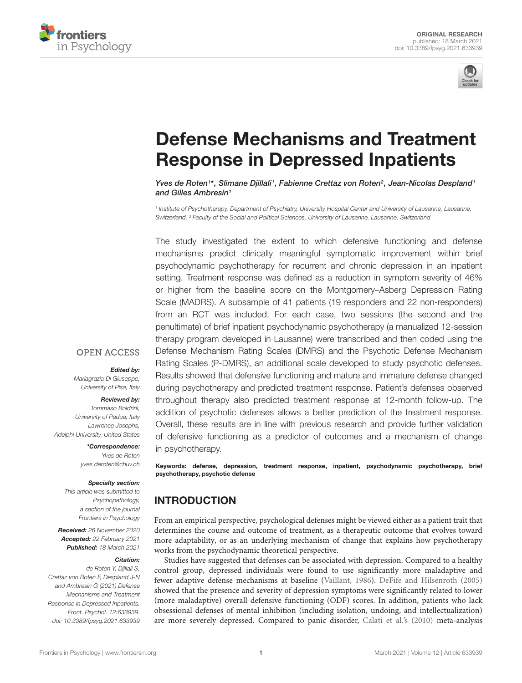



# [Defense Mechanisms and Treatment](https://www.frontiersin.org/articles/10.3389/fpsyg.2021.633939/full) Response in Depressed Inpatients

Yves de Roten1\*, Slimane Djillali1, Fabienne Crettaz von Roten<sup>2</sup>, Jean-Nicolas Despland1 and Gilles Ambresin<sup>1</sup>

1 Institute of Psychotherapy, Department of Psychiatry, University Hospital Center and University of Lausanne, Lausanne, Switzerland, <sup>2</sup> Faculty of the Social and Political Sciences, University of Lausanne, Lausanne, Switzerland

The study investigated the extent to which defensive functioning and defense mechanisms predict clinically meaningful symptomatic improvement within brief psychodynamic psychotherapy for recurrent and chronic depression in an inpatient setting. Treatment response was defined as a reduction in symptom severity of 46% or higher from the baseline score on the Montgomery–Asberg Depression Rating Scale (MADRS). A subsample of 41 patients (19 responders and 22 non-responders) from an RCT was included. For each case, two sessions (the second and the penultimate) of brief inpatient psychodynamic psychotherapy (a manualized 12-session therapy program developed in Lausanne) were transcribed and then coded using the Defense Mechanism Rating Scales (DMRS) and the Psychotic Defense Mechanism Rating Scales (P-DMRS), an additional scale developed to study psychotic defenses. Results showed that defensive functioning and mature and immature defense changed during psychotherapy and predicted treatment response. Patient's defenses observed throughout therapy also predicted treatment response at 12-month follow-up. The addition of psychotic defenses allows a better prediction of the treatment response. Overall, these results are in line with previous research and provide further validation of defensive functioning as a predictor of outcomes and a mechanism of change in psychotherapy.

Keywords: defense, depression, treatment response, inpatient, psychodynamic psychotherapy, brief psychotherapy, psychotic defense

### INTRODUCTION

From an empirical perspective, psychological defenses might be viewed either as a patient trait that determines the course and outcome of treatment, as a therapeutic outcome that evolves toward more adaptability, or as an underlying mechanism of change that explains how psychotherapy works from the psychodynamic theoretical perspective.

Studies have suggested that defenses can be associated with depression. Compared to a healthy control group, depressed individuals were found to use significantly more maladaptive and fewer adaptive defense mechanisms at baseline [\(Vaillant,](#page-9-0) [1986\)](#page-9-0). [DeFife and Hilsenroth](#page-8-0) [\(2005\)](#page-8-0) showed that the presence and severity of depression symptoms were significantly related to lower (more maladaptive) overall defensive functioning (ODF) scores. In addition, patients who lack obsessional defenses of mental inhibition (including isolation, undoing, and intellectualization) are more severely depressed. Compared to panic disorder, [Calati et al.'](#page-8-1)s [\(2010\)](#page-8-1) meta-analysis

#### **OPEN ACCESS**

#### Edited by:

Mariagrazia Di Giuseppe, University of Pisa, Italy

#### Reviewed by:

Tommaso Boldrini, University of Padua, Italy Lawrence Josephs, Adelphi University, United States

> \*Correspondence: Yves de Roten yves.deroten@chuv.ch

#### Specialty section:

This article was submitted to Psychopathology, a section of the journal Frontiers in Psychology

Received: 26 November 2020 Accepted: 22 February 2021 Published: 18 March 2021

#### Citation:

de Roten Y, Djillali S, Crettaz von Roten F, Despland J-N and Ambresin G (2021) Defense Mechanisms and Treatment Response in Depressed Inpatients. Front. Psychol. 12:633939. doi: [10.3389/fpsyg.2021.633939](https://doi.org/10.3389/fpsyg.2021.633939)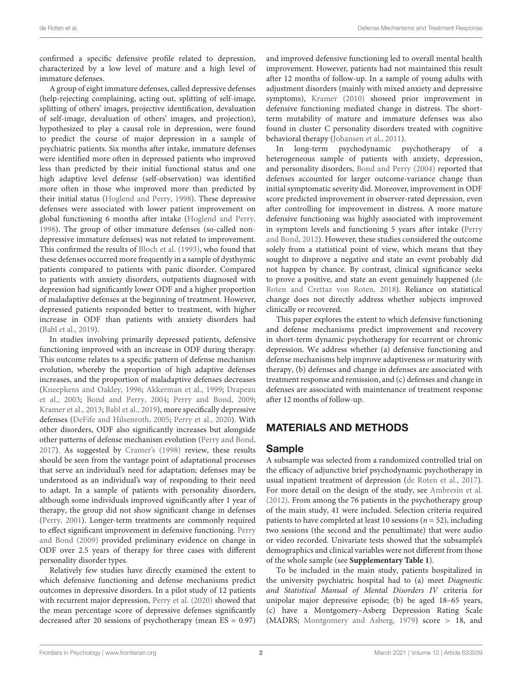confirmed a specific defensive profile related to depression, characterized by a low level of mature and a high level of immature defenses.

A group of eight immature defenses, called depressive defenses (help-rejecting complaining, acting out, splitting of self-image, splitting of others' images, projective identification, devaluation of self-image, devaluation of others' images, and projection), hypothesized to play a causal role in depression, were found to predict the course of major depression in a sample of psychiatric patients. Six months after intake, immature defenses were identified more often in depressed patients who improved less than predicted by their initial functional status and one high adaptive level defense (self-observation) was identified more often in those who improved more than predicted by their initial status [\(Hoglend and Perry,](#page-8-2) [1998\)](#page-8-2). These depressive defenses were associated with lower patient improvement on global functioning 6 months after intake [\(Hoglend and Perry,](#page-8-2) [1998\)](#page-8-2). The group of other immature defenses (so-called nondepressive immature defenses) was not related to improvement. This confirmed the results of [Bloch et al.](#page-8-3) [\(1993\)](#page-8-3), who found that these defenses occurred more frequently in a sample of dysthymic patients compared to patients with panic disorder. Compared to patients with anxiety disorders, outpatients diagnosed with depression had significantly lower ODF and a higher proportion of maladaptive defenses at the beginning of treatment. However, depressed patients responded better to treatment, with higher increase in ODF than patients with anxiety disorders had [\(Babl et al.,](#page-8-4) [2019\)](#page-8-4).

In studies involving primarily depressed patients, defensive functioning improved with an increase in ODF during therapy. This outcome relates to a specific pattern of defense mechanism evolution, whereby the proportion of high adaptive defenses increases, and the proportion of maladaptive defenses decreases [\(Kneepkens and Oakley,](#page-8-5) [1996;](#page-8-5) [Akkerman et al.,](#page-8-6) [1999;](#page-8-6) [Drapeau](#page-8-7) [et al.,](#page-8-7) [2003;](#page-8-7) [Bond and Perry,](#page-8-8) [2004;](#page-8-8) [Perry and Bond,](#page-8-9) [2009;](#page-8-9) [Kramer et al.,](#page-8-10) [2013;](#page-8-10) [Babl et al.,](#page-8-4) [2019\)](#page-8-4), more specifically depressive defenses [\(DeFife and Hilsenroth,](#page-8-0) [2005;](#page-8-0) [Perry et al.,](#page-8-11) [2020\)](#page-8-11). With other disorders, ODF also significantly increases but alongside other patterns of defense mechanism evolution [\(Perry and Bond,](#page-8-12) [2017\)](#page-8-12). As suggested by [Cramer'](#page-8-13)s [\(1998\)](#page-8-13) review, these results should be seen from the vantage point of adaptational processes that serve an individual's need for adaptation; defenses may be understood as an individual's way of responding to their need to adapt. In a sample of patients with personality disorders, although some individuals improved significantly after 1 year of therapy, the group did not show significant change in defenses [\(Perry,](#page-8-14) [2001\)](#page-8-14). Longer-term treatments are commonly required to effect significant improvement in defensive functioning. [Perry](#page-8-9) [and Bond](#page-8-9) [\(2009\)](#page-8-9) provided preliminary evidence on change in ODF over 2.5 years of therapy for three cases with different personality disorder types.

Relatively few studies have directly examined the extent to which defensive functioning and defense mechanisms predict outcomes in depressive disorders. In a pilot study of 12 patients with recurrent major depression, [Perry et al.](#page-8-11) [\(2020\)](#page-8-11) showed that the mean percentage score of depressive defenses significantly decreased after 20 sessions of psychotherapy (mean ES = 0.97)

and improved defensive functioning led to overall mental health improvement. However, patients had not maintained this result after 12 months of follow-up. In a sample of young adults with adjustment disorders (mainly with mixed anxiety and depressive symptoms), [Kramer](#page-8-15) [\(2010\)](#page-8-15) showed prior improvement in defensive functioning mediated change in distress. The shortterm mutability of mature and immature defenses was also found in cluster C personality disorders treated with cognitive behavioral therapy [\(Johansen et al.,](#page-8-16) [2011\)](#page-8-16).

In long-term psychodynamic psychotherapy of a heterogeneous sample of patients with anxiety, depression, and personality disorders, [Bond and Perry](#page-8-8) [\(2004\)](#page-8-8) reported that defenses accounted for larger outcome-variance change than initial symptomatic severity did. Moreover, improvement in ODF score predicted improvement in observer-rated depression, even after controlling for improvement in distress. A more mature defensive functioning was highly associated with improvement in symptom levels and functioning 5 years after intake [\(Perry](#page-8-17) [and Bond,](#page-8-17) [2012\)](#page-8-17). However, these studies considered the outcome solely from a statistical point of view, which means that they sought to disprove a negative and state an event probably did not happen by chance. By contrast, clinical significance seeks to prove a positive, and state an event genuinely happened [\(de](#page-8-18) [Roten and Crettaz von Roten,](#page-8-18) [2018\)](#page-8-18). Reliance on statistical change does not directly address whether subjects improved clinically or recovered.

This paper explores the extent to which defensive functioning and defense mechanisms predict improvement and recovery in short-term dynamic psychotherapy for recurrent or chronic depression. We address whether (a) defensive functioning and defense mechanisms help improve adaptiveness or maturity with therapy, (b) defenses and change in defenses are associated with treatment response and remission, and (c) defenses and change in defenses are associated with maintenance of treatment response after 12 months of follow-up.

### MATERIALS AND METHODS

#### Sample

A subsample was selected from a randomized controlled trial on the efficacy of adjunctive brief psychodynamic psychotherapy in usual inpatient treatment of depression [\(de Roten et al.,](#page-8-19) [2017\)](#page-8-19). For more detail on the design of the study, see [Ambresin et al.](#page-8-20) [\(2012\)](#page-8-20). From among the 76 patients in the psychotherapy group of the main study, 41 were included. Selection criteria required patients to have completed at least 10 sessions ( $n = 52$ ), including two sessions (the second and the penultimate) that were audio or video recorded. Univariate tests showed that the subsample's demographics and clinical variables were not different from those of the whole sample (see **[Supplementary Table 1](#page-7-0)**).

To be included in the main study, patients hospitalized in the university psychiatric hospital had to (a) meet Diagnostic and Statistical Manual of Mental Disorders IV criteria for unipolar major depressive episode; (b) be aged 18–65 years, (c) have a Montgomery–Asberg Depression Rating Scale (MADRS; [Montgomery and Asberg,](#page-8-21) [1979\)](#page-8-21) score > 18, and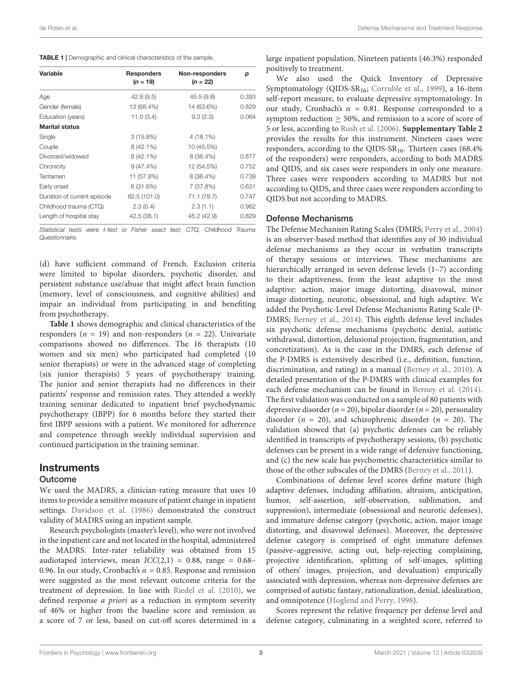<span id="page-2-0"></span>

| Variable                    | <b>Responders</b><br>$(n = 19)$ | Non-responders<br>$(n = 22)$ | р     |  |
|-----------------------------|---------------------------------|------------------------------|-------|--|
|                             |                                 |                              |       |  |
| Age                         | 42.8(9.5)                       | 45.5 (9.8)                   | 0.393 |  |
| Gender (female)             | 13 (68.4%)                      | 14 (63.6%)                   | 0.829 |  |
| Education (years)           | 11.0(3.4)                       | 9.3(2.3)                     | 0.064 |  |
| <b>Marital status</b>       |                                 |                              |       |  |
| Single                      | $3(15.8\%)$                     | $4(18.1\%)$                  |       |  |
| Couple                      | $8(42.1\%)$                     | 10 (45.5%)                   |       |  |
| Divorced/widowed            | $8(42.1\%)$                     | $8(36.4\%)$                  | 0.877 |  |
| Chronicity                  | $9(47.4\%)$                     | 12 (54.5%)                   | 0.752 |  |
| Tentamen                    | 11 (57.9%)                      | 8 (36.4%)                    | 0.739 |  |
| Early onset                 | 6(31.6%)                        | 7 (37.8%)                    | 0.631 |  |
| Duration of current episode | 82.5 (101.0)                    | 71.1 (79.7)                  | 0.747 |  |
| Childhood trauma (CTQ)      | 2.3(0.4)                        | 2.3(1.1)                     | 0.962 |  |
| Length of hospital stay     | 42.5 (38.1)                     | 45.2 (42.9)                  | 0.829 |  |

Statistical tests were t-test or Fisher exact test; CTQ, Childhood Trauma Questionnaire.

(d) have sufficient command of French. Exclusion criteria were limited to bipolar disorders, psychotic disorder, and persistent substance use/abuse that might affect brain function (memory, level of consciousness, and cognitive abilities) and impair an individual from participating in and benefiting from psychotherapy.

**[Table 1](#page-2-0)** shows demographic and clinical characteristics of the responders ( $n = 19$ ) and non-responders ( $n = 22$ ). Univariate comparisons showed no differences. The 16 therapists (10 women and six men) who participated had completed (10 senior therapists) or were in the advanced stage of completing (six junior therapists) 5 years of psychotherapy training. The junior and senior therapists had no differences in their patients' response and remission rates. They attended a weekly training seminar dedicated to inpatient brief psychodynamic psychotherapy (IBPP) for 6 months before they started their first IBPP sessions with a patient. We monitored for adherence and competence through weekly individual supervision and continued participation in the training seminar.

#### Instruments

#### Outcome

We used the MADRS, a clinician-rating measure that uses 10 items to provide a sensitive measure of patient change in inpatient settings. [Davidson et al.](#page-8-22) [\(1986\)](#page-8-22) demonstrated the construct validity of MADRS using an inpatient sample.

Research psychologists (master's level), who were not involved in the inpatient care and not located in the hospital, administered the MADRS. Inter-rater reliability was obtained from 15 audiotaped interviews, mean  $ICC(2,1) = 0.88$ , range = 0.68– 0.96. In our study, Cronbach's  $\alpha$  = 0.85. Response and remission were suggested as the most relevant outcome criteria for the treatment of depression. In line with [Riedel et al.](#page-9-1) [\(2010\)](#page-9-1), we defined response a priori as a reduction in symptom severity of 46% or higher from the baseline score and remission as a score of 7 or less, based on cut-off scores determined in a

large inpatient population. Nineteen patients (46.3%) responded positively to treatment.

We also used the Quick Inventory of Depressive Symptomatology (QIDS-SR16; [Corruble et al.,](#page-8-23) [1999\)](#page-8-23), a 16-item self-report measure, to evaluate depressive symptomatology. In our study, Cronbach's  $\alpha = 0.81$ . Response corresponded to a symptom reduction  $\geq 50\%$ , and remission to a score of score of 5 or less, according to [Rush et al.](#page-9-2) [\(2006\)](#page-9-2). **[Supplementary Table 2](#page-7-0)** provides the results for this instrument. Nineteen cases were responders, according to the QIDS- $SR_{16}$ . Thirteen cases (68.4%) of the responders) were responders, according to both MADRS and QIDS, and six cases were responders in only one measure. Three cases were responders according to MADRS but not according to QIDS, and three cases were responders according to QIDS but not according to MADRS.

#### Defense Mechanisms

The Defense Mechanism Rating Scales (DMRS; [Perry et al.,](#page-8-24) [2004\)](#page-8-24) is an observer-based method that identifies any of 30 individual defense mechanisms as they occur in verbatim transcripts of therapy sessions or interviews. These mechanisms are hierarchically arranged in seven defense levels (1-7) according to their adaptiveness, from the least adaptive to the most adaptive: action, major image distorting, disavowal, minor image distorting, neurotic, obsessional, and high adaptive. We added the Psychotic-Level Defense Mechanisms Rating Scale (P-DMRS; [Berney et al.,](#page-8-25) [2014\)](#page-8-25). This eighth defense level includes six psychotic defense mechanisms (psychotic denial, autistic withdrawal, distortion, delusional projection, fragmentation, and concretization). As is the case in the DMRS, each defense of the P-DMRS is extensively described (i.e., definition, function, discrimination, and rating) in a manual [\(Berney et al.,](#page-8-26) [2010\)](#page-8-26). A detailed presentation of the P-DMRS with clinical examples for each defense mechanism can be found in [Berney et al.](#page-8-25) [\(2014\)](#page-8-25). The first validation was conducted on a sample of 80 patients with depressive disorder ( $n = 20$ ), bipolar disorder ( $n = 20$ ), personality disorder ( $n = 20$ ), and schizophrenic disorder ( $n = 20$ ). The validation showed that (a) psychotic defenses can be reliably identified in transcripts of psychotherapy sessions, (b) psychotic defenses can be present in a wide range of defensive functioning, and (c) the new scale has psychometric characteristics similar to those of the other subscales of the DMRS [\(Berney et al.,](#page-8-27) [2011\)](#page-8-27).

Combinations of defense level scores define mature (high adaptive defenses, including affiliation, altruism, anticipation, humor, self-assertion, self-observation, sublimation, and suppression), intermediate (obsessional and neurotic defenses), and immature defense category (psychotic, action, major image distorting, and disavowal defenses). Moreover, the depressive defense category is comprised of eight immature defenses (passive–aggressive, acting out, help-rejecting complaining, projective identification, splitting of self-images, splitting of others' images, projection, and devaluation) empirically associated with depression, whereas non-depressive defenses are comprised of autistic fantasy, rationalization, denial, idealization, and omnipotence [\(Hoglend and Perry,](#page-8-2) [1998\)](#page-8-2).

Scores represent the relative frequency per defense level and defense category, culminating in a weighted score, referred to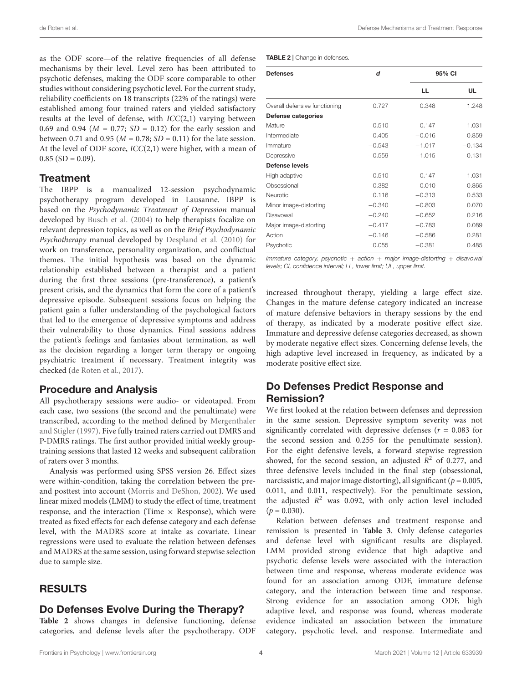as the ODF score—of the relative frequencies of all defense mechanisms by their level. Level zero has been attributed to psychotic defenses, making the ODF score comparable to other studies without considering psychotic level. For the current study, reliability coefficients on 18 transcripts (22% of the ratings) were established among four trained raters and yielded satisfactory results at the level of defense, with  $ICC(2,1)$  varying between 0.69 and 0.94 ( $M = 0.77$ ;  $SD = 0.12$ ) for the early session and between 0.71 and 0.95 ( $M = 0.78$ ;  $SD = 0.11$ ) for the late session. At the level of ODF score, ICC(2,1) were higher, with a mean of  $0.85$  (SD = 0.09).

### **Treatment**

The IBPP is a manualized 12-session psychodynamic psychotherapy program developed in Lausanne. IBPP is based on the Psychodynamic Treatment of Depression manual developed by [Busch et al.](#page-8-28) [\(2004\)](#page-8-28) to help therapists focalize on relevant depression topics, as well as on the Brief Psychodynamic Psychotherapy manual developed by [Despland et al.](#page-8-29) [\(2010\)](#page-8-29) for work on transference, personality organization, and conflictual themes. The initial hypothesis was based on the dynamic relationship established between a therapist and a patient during the first three sessions (pre-transference), a patient's present crisis, and the dynamics that form the core of a patient's depressive episode. Subsequent sessions focus on helping the patient gain a fuller understanding of the psychological factors that led to the emergence of depressive symptoms and address their vulnerability to those dynamics. Final sessions address the patient's feelings and fantasies about termination, as well as the decision regarding a longer term therapy or ongoing psychiatric treatment if necessary. Treatment integrity was checked [\(de Roten et al.,](#page-8-19) [2017\)](#page-8-19).

### Procedure and Analysis

All psychotherapy sessions were audio- or videotaped. From each case, two sessions (the second and the penultimate) were transcribed, according to the method defined by [Mergenthaler](#page-8-30) [and Stigler](#page-8-30) [\(1997\)](#page-8-30). Five fully trained raters carried out DMRS and P-DMRS ratings. The first author provided initial weekly grouptraining sessions that lasted 12 weeks and subsequent calibration of raters over 3 months.

Analysis was performed using SPSS version 26. Effect sizes were within-condition, taking the correlation between the preand posttest into account [\(Morris and DeShon,](#page-8-31) [2002\)](#page-8-31). We used linear mixed models (LMM) to study the effect of time, treatment response, and the interaction (Time  $\times$  Response), which were treated as fixed effects for each defense category and each defense level, with the MADRS score at intake as covariate. Linear regressions were used to evaluate the relation between defenses and MADRS at the same session, using forward stepwise selection due to sample size.

# RESULTS

### Do Defenses Evolve During the Therapy?

**[Table 2](#page-3-0)** shows changes in defensive functioning, defense categories, and defense levels after the psychotherapy. ODF <span id="page-3-0"></span>TABLE 2 | Change in defenses

| <b>Defenses</b>               | d        |          | 95% CI   |  |  |
|-------------------------------|----------|----------|----------|--|--|
|                               |          | LL.      | UL       |  |  |
| Overall defensive functioning | 0.727    | 0.348    | 1.248    |  |  |
| Defense categories            |          |          |          |  |  |
| Mature                        | 0.510    | 0.147    | 1.031    |  |  |
| Intermediate                  | 0.405    | $-0.016$ | 0.859    |  |  |
| Immature                      | $-0.543$ | $-1.017$ | $-0.134$ |  |  |
| Depressive                    | $-0.559$ | $-1.015$ | $-0.131$ |  |  |
| Defense levels                |          |          |          |  |  |
| High adaptive                 | 0.510    | 0.147    | 1.031    |  |  |
| Obsessional                   | 0.382    | $-0.010$ | 0.865    |  |  |
| Neurotic                      | 0.116    | $-0.313$ | 0.533    |  |  |
| Minor image-distorting        | $-0.340$ | $-0.803$ | 0.070    |  |  |
| Disavowal                     | $-0.240$ | $-0.652$ | 0.216    |  |  |
| Major image-distorting        | $-0.417$ | $-0.783$ | 0.089    |  |  |
| Action                        | $-0.146$ | $-0.586$ | 0.281    |  |  |
| Psychotic                     | 0.055    | $-0.381$ | 0.485    |  |  |

Immature category, psychotic  $+$  action  $+$  major image-distorting  $+$  disavowal levels; CI, confidence interval; LL, lower limit; UL, upper limit.

increased throughout therapy, yielding a large effect size. Changes in the mature defense category indicated an increase of mature defensive behaviors in therapy sessions by the end of therapy, as indicated by a moderate positive effect size. Immature and depressive defense categories decreased, as shown by moderate negative effect sizes. Concerning defense levels, the high adaptive level increased in frequency, as indicated by a moderate positive effect size.

# Do Defenses Predict Response and Remission?

We first looked at the relation between defenses and depression in the same session. Depressive symptom severity was not significantly correlated with depressive defenses ( $r = 0.083$  for the second session and 0.255 for the penultimate session). For the eight defensive levels, a forward stepwise regression showed, for the second session, an adjusted  $R^2$  of 0.277, and three defensive levels included in the final step (obsessional, narcissistic, and major image distorting), all significant ( $p = 0.005$ , 0.011, and 0.011, respectively). For the penultimate session, the adjusted  $R^2$  was 0.092, with only action level included  $(p = 0.030)$ .

Relation between defenses and treatment response and remission is presented in **[Table 3](#page-4-0)**. Only defense categories and defense level with significant results are displayed. LMM provided strong evidence that high adaptive and psychotic defense levels were associated with the interaction between time and response, whereas moderate evidence was found for an association among ODF, immature defense category, and the interaction between time and response. Strong evidence for an association among ODF, high adaptive level, and response was found, whereas moderate evidence indicated an association between the immature category, psychotic level, and response. Intermediate and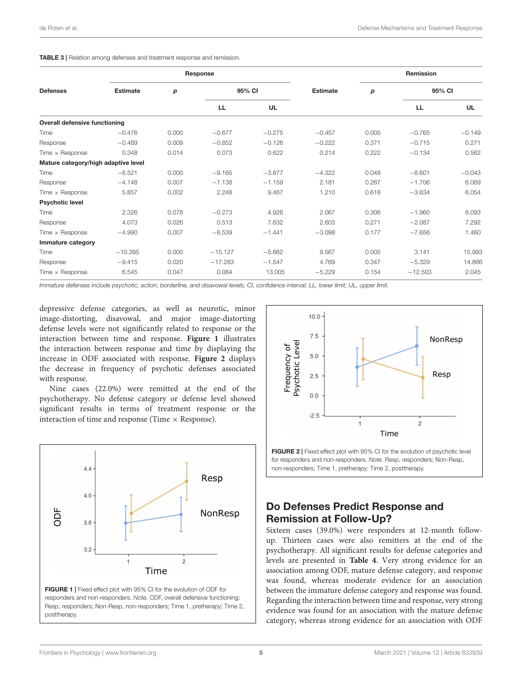#### <span id="page-4-0"></span>TABLE 3 | Relation among defenses and treatment response and remission.

| <b>Defenses</b>                      | Response        |       |           |           |                 | Remission |           |           |
|--------------------------------------|-----------------|-------|-----------|-----------|-----------------|-----------|-----------|-----------|
|                                      | <b>Estimate</b> | р     | 95% CI    |           | <b>Estimate</b> | p         | 95% CI    |           |
|                                      |                 |       | LL.       | <b>UL</b> |                 |           | LL.       | <b>UL</b> |
| <b>Overall defensive functioning</b> |                 |       |           |           |                 |           |           |           |
| Time                                 | $-0.476$        | 0.000 | $-0.677$  | $-0.275$  | $-0.457$        | 0.005     | $-0.765$  | $-0.149$  |
| Response                             | $-0.489$        | 0.009 | $-0.852$  | $-0.126$  | $-0.222$        | 0.371     | $-0.715$  | 0.271     |
| Time $\times$ Response               | 0.348           | 0.014 | 0.073     | 0.622     | 0.214           | 0.222     | $-0.134$  | 0.562     |
| Mature category/high adaptive level  |                 |       |           |           |                 |           |           |           |
| Time                                 | $-6.521$        | 0.000 | $-9.165$  | $-3.877$  | $-4.322$        | 0.048     | $-8.601$  | $-0.043$  |
| Response                             | $-4.148$        | 0.007 | $-7.138$  | $-1.159$  | 2.181           | 0.267     | $-1.706$  | 6.069     |
| Time $\times$ Response               | 5.857           | 0.002 | 2.248     | 9.467     | 1.210           | 0.616     | $-3.634$  | 6.054     |
| <b>Psychotic level</b>               |                 |       |           |           |                 |           |           |           |
| Time                                 | 2.326           | 0.078 | $-0.273$  | 4.926     | 2.067           | 0.306     | $-1.960$  | 6.093     |
| Response                             | 4.073           | 0.026 | 0.513     | 7.632     | 2.603           | 0.271     | $-2.087$  | 7.292     |
| Time $\times$ Response               | $-4.990$        | 0.007 | $-8.539$  | $-1.441$  | $-3.098$        | 0.177     | $-7.656$  | 1.460     |
| Immature category                    |                 |       |           |           |                 |           |           |           |
| Time                                 | $-10.395$       | 0.000 | $-15.127$ | $-5.662$  | 9.567           | 0.005     | 3.141     | 15.993    |
| Response                             | $-9.415$        | 0.020 | $-17.283$ | $-1.547$  | 4.769           | 0.347     | $-5.329$  | 14.866    |
| Time $\times$ Response               | 6.545           | 0.047 | 0.084     | 13.005    | $-5.229$        | 0.154     | $-12.503$ | 2.045     |

Immature defenses include psychotic, action, borderline, and disavowal levels; CI, confidence interval; LL, lower limit; UL, upper limit.

depressive defense categories, as well as neurotic, minor image-distorting, disavowal, and major image-distorting defense levels were not significantly related to response or the interaction between time and response. **[Figure 1](#page-4-1)** illustrates the interaction between response and time by displaying the increase in ODF associated with response. **[Figure 2](#page-4-2)** displays the decrease in frequency of psychotic defenses associated with response.

Nine cases (22.0%) were remitted at the end of the psychotherapy. No defense category or defense level showed significant results in terms of treatment response or the interaction of time and response (Time  $\times$  Response).

<span id="page-4-1"></span>



<span id="page-4-2"></span>FIGURE 2 | Fixed effect plot with 95% CI for the evolution of psychotic level for responders and non-responders. Note. Resp, responders; Non-Resp, non-responders; Time 1, pretherapy; Time 2, posttherapy.

# Do Defenses Predict Response and Remission at Follow-Up?

Sixteen cases (39.0%) were responders at 12-month followup. Thirteen cases were also remitters at the end of the psychotherapy. All significant results for defense categories and levels are presented in **[Table 4](#page-5-0)**. Very strong evidence for an association among ODF, mature defense category, and response was found, whereas moderate evidence for an association between the immature defense category and response was found. Regarding the interaction between time and response, very strong evidence was found for an association with the mature defense category, whereas strong evidence for an association with ODF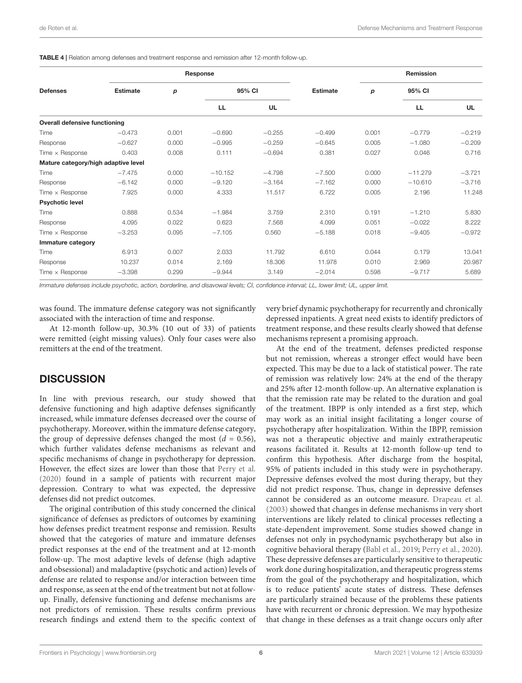<span id="page-5-0"></span>TABLE 4 | Relation among defenses and treatment response and remission after 12-month follow-up.

| <b>Defenses</b>                      | Response        |       |           |          |                 | Remission |           |          |
|--------------------------------------|-----------------|-------|-----------|----------|-----------------|-----------|-----------|----------|
|                                      | <b>Estimate</b> | p     | 95% CI    |          | <b>Estimate</b> | p         | 95% CI    |          |
|                                      |                 |       | LL.       | UL       |                 |           | <b>LL</b> | UL       |
| <b>Overall defensive functioning</b> |                 |       |           |          |                 |           |           |          |
| Time                                 | $-0.473$        | 0.001 | $-0.690$  | $-0.255$ | $-0.499$        | 0.001     | $-0.779$  | $-0.219$ |
| Response                             | $-0.627$        | 0.000 | $-0.995$  | $-0.259$ | $-0.645$        | 0.005     | $-1.080$  | $-0.209$ |
| Time $\times$ Response               | 0.403           | 0.008 | 0.111     | $-0.694$ | 0.381           | 0.027     | 0.046     | 0.716    |
| Mature category/high adaptive level  |                 |       |           |          |                 |           |           |          |
| Time                                 | $-7.475$        | 0.000 | $-10.152$ | $-4.798$ | $-7.500$        | 0.000     | $-11.279$ | $-3.721$ |
| Response                             | $-6.142$        | 0.000 | $-9.120$  | $-3.164$ | $-7.162$        | 0.000     | $-10.610$ | $-3.716$ |
| Time $\times$ Response               | 7.925           | 0.000 | 4.333     | 11.517   | 6.722           | 0.005     | 2.196     | 11.248   |
| <b>Psychotic level</b>               |                 |       |           |          |                 |           |           |          |
| Time                                 | 0.888           | 0.534 | $-1.984$  | 3.759    | 2.310           | 0.191     | $-1.210$  | 5.830    |
| Response                             | 4.095           | 0.022 | 0.623     | 7.568    | 4.099           | 0.051     | $-0.022$  | 8.222    |
| Time $\times$ Response               | $-3.253$        | 0.095 | $-7.105$  | 0.560    | $-5.188$        | 0.018     | $-9.405$  | $-0.972$ |
| Immature category                    |                 |       |           |          |                 |           |           |          |
| Time                                 | 6.913           | 0.007 | 2.033     | 11.792   | 6.610           | 0.044     | 0.179     | 13.041   |
| Response                             | 10.237          | 0.014 | 2.169     | 18.306   | 11.978          | 0.010     | 2.969     | 20.987   |
| Time $\times$ Response               | $-3.398$        | 0.299 | $-9.944$  | 3.149    | $-2.014$        | 0.598     | $-9.717$  | 5.689    |

Immature defenses include psychotic, action, borderline, and disavowal levels; CI, confidence interval; LL, lower limit; UL, upper limit.

was found. The immature defense category was not significantly associated with the interaction of time and response.

At 12-month follow-up, 30.3% (10 out of 33) of patients were remitted (eight missing values). Only four cases were also remitters at the end of the treatment.

#### **DISCUSSION**

In line with previous research, our study showed that defensive functioning and high adaptive defenses significantly increased, while immature defenses decreased over the course of psychotherapy. Moreover, within the immature defense category, the group of depressive defenses changed the most ( $d = 0.56$ ), which further validates defense mechanisms as relevant and specific mechanisms of change in psychotherapy for depression. However, the effect sizes are lower than those that [Perry et al.](#page-8-11) [\(2020\)](#page-8-11) found in a sample of patients with recurrent major depression. Contrary to what was expected, the depressive defenses did not predict outcomes.

The original contribution of this study concerned the clinical significance of defenses as predictors of outcomes by examining how defenses predict treatment response and remission. Results showed that the categories of mature and immature defenses predict responses at the end of the treatment and at 12-month follow-up. The most adaptive levels of defense (high adaptive and obsessional) and maladaptive (psychotic and action) levels of defense are related to response and/or interaction between time and response, as seen at the end of the treatment but not at followup. Finally, defensive functioning and defense mechanisms are not predictors of remission. These results confirm previous research findings and extend them to the specific context of very brief dynamic psychotherapy for recurrently and chronically depressed inpatients. A great need exists to identify predictors of treatment response, and these results clearly showed that defense mechanisms represent a promising approach.

At the end of the treatment, defenses predicted response but not remission, whereas a stronger effect would have been expected. This may be due to a lack of statistical power. The rate of remission was relatively low: 24% at the end of the therapy and 25% after 12-month follow-up. An alternative explanation is that the remission rate may be related to the duration and goal of the treatment. IBPP is only intended as a first step, which may work as an initial insight facilitating a longer course of psychotherapy after hospitalization. Within the IBPP, remission was not a therapeutic objective and mainly extratherapeutic reasons facilitated it. Results at 12-month follow-up tend to confirm this hypothesis. After discharge from the hospital, 95% of patients included in this study were in psychotherapy. Depressive defenses evolved the most during therapy, but they did not predict response. Thus, change in depressive defenses cannot be considered as an outcome measure. [Drapeau et al.](#page-8-7) [\(2003\)](#page-8-7) showed that changes in defense mechanisms in very short interventions are likely related to clinical processes reflecting a state-dependent improvement. Some studies showed change in defenses not only in psychodynamic psychotherapy but also in cognitive behavioral therapy [\(Babl et al.,](#page-8-4) [2019;](#page-8-4) [Perry et al.,](#page-8-11) [2020\)](#page-8-11). These depressive defenses are particularly sensitive to therapeutic work done during hospitalization, and therapeutic progress stems from the goal of the psychotherapy and hospitalization, which is to reduce patients' acute states of distress. These defenses are particularly strained because of the problems these patients have with recurrent or chronic depression. We may hypothesize that change in these defenses as a trait change occurs only after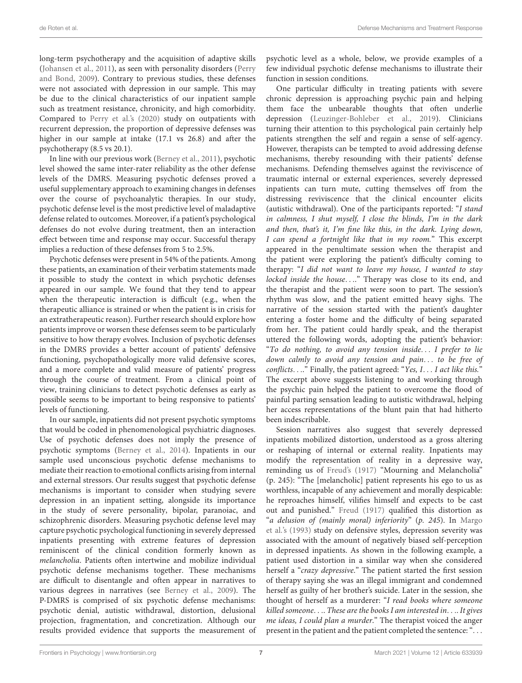long-term psychotherapy and the acquisition of adaptive skills [\(Johansen et al.,](#page-8-16) [2011\)](#page-8-16), as seen with personality disorders [\(Perry](#page-8-9) [and Bond,](#page-8-9) [2009\)](#page-8-9). Contrary to previous studies, these defenses were not associated with depression in our sample. This may be due to the clinical characteristics of our inpatient sample such as treatment resistance, chronicity, and high comorbidity. Compared to [Perry et al.'](#page-8-11)s [\(2020\)](#page-8-11) study on outpatients with recurrent depression, the proportion of depressive defenses was higher in our sample at intake (17.1 vs 26.8) and after the psychotherapy (8.5 vs 20.1).

In line with our previous work [\(Berney et al.,](#page-8-27) [2011\)](#page-8-27), psychotic level showed the same inter-rater reliability as the other defense levels of the DMRS. Measuring psychotic defenses proved a useful supplementary approach to examining changes in defenses over the course of psychoanalytic therapies. In our study, psychotic defense level is the most predictive level of maladaptive defense related to outcomes. Moreover, if a patient's psychological defenses do not evolve during treatment, then an interaction effect between time and response may occur. Successful therapy implies a reduction of these defenses from 5 to 2.5%.

Psychotic defenses were present in 54% of the patients. Among these patients, an examination of their verbatim statements made it possible to study the context in which psychotic defenses appeared in our sample. We found that they tend to appear when the therapeutic interaction is difficult (e.g., when the therapeutic alliance is strained or when the patient is in crisis for an extratherapeutic reason). Further research should explore how patients improve or worsen these defenses seem to be particularly sensitive to how therapy evolves. Inclusion of psychotic defenses in the DMRS provides a better account of patients' defensive functioning, psychopathologically more valid defensive scores, and a more complete and valid measure of patients' progress through the course of treatment. From a clinical point of view, training clinicians to detect psychotic defenses as early as possible seems to be important to being responsive to patients' levels of functioning.

In our sample, inpatients did not present psychotic symptoms that would be coded in phenomenological psychiatric diagnoses. Use of psychotic defenses does not imply the presence of psychotic symptoms [\(Berney et al.,](#page-8-25) [2014\)](#page-8-25). Inpatients in our sample used unconscious psychotic defense mechanisms to mediate their reaction to emotional conflicts arising from internal and external stressors. Our results suggest that psychotic defense mechanisms is important to consider when studying severe depression in an inpatient setting, alongside its importance in the study of severe personality, bipolar, paranoiac, and schizophrenic disorders. Measuring psychotic defense level may capture psychotic psychological functioning in severely depressed inpatients presenting with extreme features of depression reminiscent of the clinical condition formerly known as melancholia. Patients often intertwine and mobilize individual psychotic defense mechanisms together. These mechanisms are difficult to disentangle and often appear in narratives to various degrees in narratives (see [Berney et al.,](#page-8-32) [2009\)](#page-8-32). The P-DMRS is comprised of six psychotic defense mechanisms: psychotic denial, autistic withdrawal, distortion, delusional projection, fragmentation, and concretization. Although our results provided evidence that supports the measurement of psychotic level as a whole, below, we provide examples of a few individual psychotic defense mechanisms to illustrate their function in session conditions.

One particular difficulty in treating patients with severe chronic depression is approaching psychic pain and helping them face the unbearable thoughts that often underlie depression [\(Leuzinger-Bohleber et al.,](#page-8-33) [2019\)](#page-8-33). Clinicians turning their attention to this psychological pain certainly help patients strengthen the self and regain a sense of self-agency. However, therapists can be tempted to avoid addressing defense mechanisms, thereby resounding with their patients' defense mechanisms. Defending themselves against the reviviscence of traumatic internal or external experiences, severely depressed inpatients can turn mute, cutting themselves off from the distressing reviviscence that the clinical encounter elicits (autistic withdrawal). One of the participants reported: "I stand in calmness, I shut myself, I close the blinds, I'm in the dark and then, that's it, I'm fine like this, in the dark. Lying down, I can spend a fortnight like that in my room." This excerpt appeared in the penultimate session when the therapist and the patient were exploring the patient's difficulty coming to therapy: "I did not want to leave my house, I wanted to stay locked inside the house...." Therapy was close to its end, and the therapist and the patient were soon to part. The session's rhythm was slow, and the patient emitted heavy sighs. The narrative of the session started with the patient's daughter entering a foster home and the difficulty of being separated from her. The patient could hardly speak, and the therapist uttered the following words, adopting the patient's behavior: "To do nothing, to avoid any tension inside. . . I prefer to lie down calmly to avoid any tension and pain... to be free of conflicts. . .." Finally, the patient agreed: "Yes, I. . . I act like this." The excerpt above suggests listening to and working through the psychic pain helped the patient to overcome the flood of painful parting sensation leading to autistic withdrawal, helping her access representations of the blunt pain that had hitherto been indescribable.

Session narratives also suggest that severely depressed inpatients mobilized distortion, understood as a gross altering or reshaping of internal or external reality. Inpatients may modify the representation of reality in a depressive way, reminding us of [Freud'](#page-8-34)s [\(1917\)](#page-8-34) "Mourning and Melancholia" (p. 245): "The [melancholic] patient represents his ego to us as worthless, incapable of any achievement and morally despicable: he reproaches himself, vilifies himself and expects to be cast out and punished." [Freud](#page-8-34) [\(1917\)](#page-8-34) qualified this distortion as "a delusion of (mainly moral) inferiority" (p. 245). In [Margo](#page-8-35) [et al.'](#page-8-35)s [\(1993\)](#page-8-35) study on defensive styles, depression severity was associated with the amount of negatively biased self-perception in depressed inpatients. As shown in the following example, a patient used distortion in a similar way when she considered herself a "crazy depressive." The patient started the first session of therapy saying she was an illegal immigrant and condemned herself as guilty of her brother's suicide. Later in the session, she thought of herself as a murderer: "I read books where someone killed someone. . .. These are the books I am interested in. . .. It gives me ideas, I could plan a murder." The therapist voiced the anger present in the patient and the patient completed the sentence: ". . .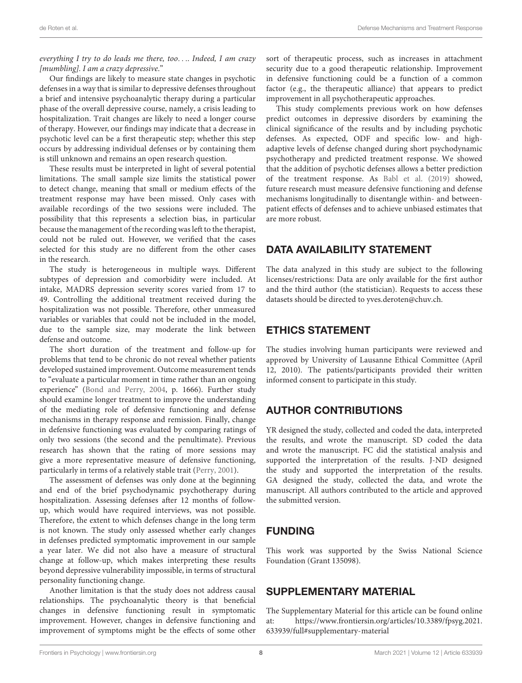#### everything I try to do leads me there, too.... Indeed, I am crazy [mumbling]. I am a crazy depressive."

Our findings are likely to measure state changes in psychotic defenses in a way that is similar to depressive defenses throughout a brief and intensive psychoanalytic therapy during a particular phase of the overall depressive course, namely, a crisis leading to hospitalization. Trait changes are likely to need a longer course of therapy. However, our findings may indicate that a decrease in psychotic level can be a first therapeutic step; whether this step occurs by addressing individual defenses or by containing them is still unknown and remains an open research question.

These results must be interpreted in light of several potential limitations. The small sample size limits the statistical power to detect change, meaning that small or medium effects of the treatment response may have been missed. Only cases with available recordings of the two sessions were included. The possibility that this represents a selection bias, in particular because the management of the recording was left to the therapist, could not be ruled out. However, we verified that the cases selected for this study are no different from the other cases in the research.

The study is heterogeneous in multiple ways. Different subtypes of depression and comorbidity were included. At intake, MADRS depression severity scores varied from 17 to 49. Controlling the additional treatment received during the hospitalization was not possible. Therefore, other unmeasured variables or variables that could not be included in the model, due to the sample size, may moderate the link between defense and outcome.

The short duration of the treatment and follow-up for problems that tend to be chronic do not reveal whether patients developed sustained improvement. Outcome measurement tends to "evaluate a particular moment in time rather than an ongoing experience" [\(Bond and Perry,](#page-8-8) [2004,](#page-8-8) p. 1666). Further study should examine longer treatment to improve the understanding of the mediating role of defensive functioning and defense mechanisms in therapy response and remission. Finally, change in defensive functioning was evaluated by comparing ratings of only two sessions (the second and the penultimate). Previous research has shown that the rating of more sessions may give a more representative measure of defensive functioning, particularly in terms of a relatively stable trait [\(Perry,](#page-8-14) [2001\)](#page-8-14).

The assessment of defenses was only done at the beginning and end of the brief psychodynamic psychotherapy during hospitalization. Assessing defenses after 12 months of followup, which would have required interviews, was not possible. Therefore, the extent to which defenses change in the long term is not known. The study only assessed whether early changes in defenses predicted symptomatic improvement in our sample a year later. We did not also have a measure of structural change at follow-up, which makes interpreting these results beyond depressive vulnerability impossible, in terms of structural personality functioning change.

Another limitation is that the study does not address causal relationships. The psychoanalytic theory is that beneficial changes in defensive functioning result in symptomatic improvement. However, changes in defensive functioning and improvement of symptoms might be the effects of some other sort of therapeutic process, such as increases in attachment security due to a good therapeutic relationship. Improvement in defensive functioning could be a function of a common factor (e.g., the therapeutic alliance) that appears to predict improvement in all psychotherapeutic approaches.

This study complements previous work on how defenses predict outcomes in depressive disorders by examining the clinical significance of the results and by including psychotic defenses. As expected, ODF and specific low- and highadaptive levels of defense changed during short psychodynamic psychotherapy and predicted treatment response. We showed that the addition of psychotic defenses allows a better prediction of the treatment response. As [Babl et al.](#page-8-4) [\(2019\)](#page-8-4) showed, future research must measure defensive functioning and defense mechanisms longitudinally to disentangle within- and betweenpatient effects of defenses and to achieve unbiased estimates that are more robust.

# DATA AVAILABILITY STATEMENT

The data analyzed in this study are subject to the following licenses/restrictions: Data are only available for the first author and the third author (the statistician). Requests to access these datasets should be directed to yves.deroten@chuv.ch.

# ETHICS STATEMENT

The studies involving human participants were reviewed and approved by University of Lausanne Ethical Committee (April 12, 2010). The patients/participants provided their written informed consent to participate in this study.

# AUTHOR CONTRIBUTIONS

YR designed the study, collected and coded the data, interpreted the results, and wrote the manuscript. SD coded the data and wrote the manuscript. FC did the statistical analysis and supported the interpretation of the results. J-ND designed the study and supported the interpretation of the results. GA designed the study, collected the data, and wrote the manuscript. All authors contributed to the article and approved the submitted version.

### FUNDING

This work was supported by the Swiss National Science Foundation (Grant 135098).

### <span id="page-7-0"></span>SUPPLEMENTARY MATERIAL

The Supplementary Material for this article can be found online at: [https://www.frontiersin.org/articles/10.3389/fpsyg.2021.](https://www.frontiersin.org/articles/10.3389/fpsyg.2021.633939/full#supplementary-material) [633939/full#supplementary-material](https://www.frontiersin.org/articles/10.3389/fpsyg.2021.633939/full#supplementary-material)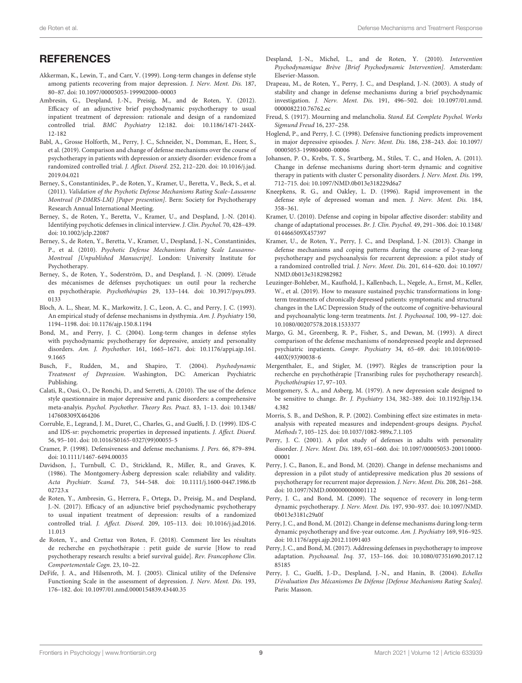#### **REFERENCES**

- <span id="page-8-6"></span>Akkerman, K., Lewin, T., and Carr, V. (1999). Long-term changes in defense style among patients recovering from major depression. J. Nerv. Ment. Dis. 187, 80–87. [doi: 10.1097/00005053-199902000-00003](https://doi.org/10.1097/00005053-199902000-00003)
- <span id="page-8-20"></span>Ambresin, G., Despland, J.-N., Preisig, M., and de Roten, Y. (2012). Efficacy of an adjunctive brief psychodynamic psychotherapy to usual inpatient treatment of depression: rationale and design of a randomized controlled trial. BMC Psychiatry 12:182. [doi: 10.1186/1471-244X-](https://doi.org/10.1186/1471-244X-12-182)[12-182](https://doi.org/10.1186/1471-244X-12-182)
- <span id="page-8-4"></span>Babl, A., Grosse Holforth, M., Perry, J. C., Schneider, N., Domman, E., Heer, S., et al. (2019). Comparison and change of defense mechanisms over the course of psychotherapy in patients with depression or anxiety disorder: evidence from a randomized controlled trial. J. Affect. Disord. 252, 212–220. [doi: 10.1016/j.jad.](https://doi.org/10.1016/j.jad.2019.04.021) [2019.04.021](https://doi.org/10.1016/j.jad.2019.04.021)
- <span id="page-8-27"></span>Berney, S., Constantinides, P., de Roten, Y., Kramer, U., Beretta, V., Beck, S., et al. (2011). Validation of the Psychotic Defense Mechanisms Rating Scale–Lausanne Montreal (P-DMRS-LM) [Paper presention]. Bern: Society for Psychotherapy Research Annual International Meeting.
- <span id="page-8-25"></span>Berney, S., de Roten, Y., Beretta, V., Kramer, U., and Despland, J.-N. (2014). Identifying psychotic defenses in clinical interview. J. Clin. Psychol. 70, 428–439. [doi: 10.1002/jclp.22087](https://doi.org/10.1002/jclp.22087)
- <span id="page-8-26"></span>Berney, S., de Roten, Y., Beretta, V., Kramer, U., Despland, J.-N., Constantinides, P., et al. (2010). Psychotic Defense Mechanisms Rating Scale Lausanne-Montreal [Unpublished Manuscript]. London: University Institute for Psychotherapy.
- <span id="page-8-32"></span>Berney, S., de Roten, Y., Soderström, D., and Despland, J. -N. (2009). L'étude des mécanismes de défenses psychotiques: un outil pour la recherche en psychothérapie. Psychothérapies 29, 133–144. [doi: 10.3917/psys.093.](https://doi.org/10.3917/psys.093.0133) [0133](https://doi.org/10.3917/psys.093.0133)
- <span id="page-8-3"></span>Bloch, A. L., Shear, M. K., Markowitz, J. C., Leon, A. C., and Perry, J. C. (1993). An empirical study of defense mechanisms in dysthymia. Am. J. Psychiatry 150, 1194–1198. [doi: 10.1176/ajp.150.8.1194](https://doi.org/10.1176/ajp.150.8.1194)
- <span id="page-8-8"></span>Bond, M., and Perry, J. C. (2004). Long-term changes in defense styles with psychodynamic psychotherapy for depressive, anxiety and personality disorders. Am. J. Psychother. 161, 1665–1671. [doi: 10.1176/appi.ajp.161.](https://doi.org/10.1176/appi.ajp.161.9.1665) [9.1665](https://doi.org/10.1176/appi.ajp.161.9.1665)
- <span id="page-8-28"></span>Busch, F., Rudden, M., and Shapiro, T. (2004). Psychodynamic Treatment of Depression. Washington, DC: American Psychiatric Publishing.
- <span id="page-8-1"></span>Calati, R., Oasi, O., De Ronchi, D., and Serretti, A. (2010). The use of the defence style questionnaire in major depressive and panic disorders: a comprehensive meta-analyis. Psychol. Psychother. Theory Res. Pract. 83, 1–13. [doi: 10.1348/](https://doi.org/10.1348/147608309X464206) [147608309X464206](https://doi.org/10.1348/147608309X464206)
- <span id="page-8-23"></span>Corruble, E., Legrand, J. M., Duret, C., Charles, G., and Guelfi, J. D. (1999). IDS-C and IDS-sr: psychometric properties in depressed inpatients. J. Affect. Disord. 56, 95–101. [doi: 10.1016/S0165-0327\(99\)00055-5](https://doi.org/10.1016/S0165-0327(99)00055-5)
- <span id="page-8-13"></span>Cramer, P. (1998). Defensiveness and defense mechanisms. J. Pers. 66, 879–894. [doi: 10.1111/1467-6494.00035](https://doi.org/10.1111/1467-6494.00035)
- <span id="page-8-22"></span>Davidson, J., Turnbull, C. D., Strickland, R., Miller, R., and Graves, K. (1986). The Montgomery-Åsberg depression scale: reliability and validity. Acta Psychiatr. Scand. 73, 544–548. [doi: 10.1111/j.1600-0447.1986.tb](https://doi.org/10.1111/j.1600-0447.1986.tb02723.x) [02723.x](https://doi.org/10.1111/j.1600-0447.1986.tb02723.x)
- <span id="page-8-19"></span>de Roten, Y., Ambresin, G., Herrera, F., Ortega, D., Preisig, M., and Despland, J.-N. (2017). Efficacy of an adjunctive brief psychodynamic psychotherapy to usual inpatient treatment of depression: results of a randomized controlled trial. J. Affect. Disord. 209, 105–113. [doi: 10.1016/j.jad.2016.](https://doi.org/10.1016/j.jad.2016.11.013) [11.013](https://doi.org/10.1016/j.jad.2016.11.013)
- <span id="page-8-18"></span>de Roten, Y., and Crettaz von Roten, F. (2018). Comment lire les résultats de recherche en psychothérapie : petit guide de survie [How to read psychotherapy research results: a brief survival guide]. Rev. Francophone Clin. Comportementale Cogn. 23, 10–22.
- <span id="page-8-0"></span>DeFife, J. A., and Hilsenroth, M. J. (2005). Clinical utility of the Defensive Functioning Scale in the assessment of depression. J. Nerv. Ment. Dis. 193, 176–182. [doi: 10.1097/01.nmd.0000154839.43440.35](https://doi.org/10.1097/01.nmd.0000154839.43440.35)
- <span id="page-8-29"></span>Despland, J.-N., Michel, L., and de Roten, Y. (2010). Intervention Psychodynamique Brève [Brief Psychodynamic Intervention]. Amsterdam: Elsevier-Masson.
- <span id="page-8-7"></span>Drapeau, M., de Roten, Y., Perry, J. C., and Despland, J.-N. (2003). A study of stability and change in defense mechanisms during a brief psychodynamic investigation. J. Nerv. Ment. Dis. 191, 496–502. [doi: 10.1097/01.nmd.](https://doi.org/10.1097/01.nmd.0000082210.76762.ec) [0000082210.76762.ec](https://doi.org/10.1097/01.nmd.0000082210.76762.ec)
- <span id="page-8-34"></span>Freud, S. (1917). Mourning and melancholia. Stand. Ed. Complete Psychol. Works Sigmund Freud 16, 237–258.
- <span id="page-8-2"></span>Hoglend, P., and Perry, J. C. (1998). Defensive functioning predicts improvement in major depressive episodes. J. Nerv. Ment. Dis. 186, 238–243. [doi: 10.1097/](https://doi.org/10.1097/00005053-199804000-00006) [00005053-199804000-00006](https://doi.org/10.1097/00005053-199804000-00006)
- <span id="page-8-16"></span>Johansen, P. O., Krebs, T. S., Svartberg, M., Stiles, T. C., and Holen, A. (2011). Change in defense mechanisms during short-term dynamic and cognitive therapy in patients with cluster C personality disorders. J. Nerv. Ment. Dis. 199, 712–715. [doi: 10.1097/NMD.0b013e318229d6a7](https://doi.org/10.1097/NMD.0b013e318229d6a7)
- <span id="page-8-5"></span>Kneepkens, R. G., and Oakley, L. D. (1996). Rapid improvement in the defense style of depressed woman and men. J. Nerv. Ment. Dis. 184, 358–361.
- <span id="page-8-15"></span>Kramer, U. (2010). Defense and coping in bipolar affective disorder: stability and change of adaptational processes. Br. J. Clin. Psychol. 49, 291–306. [doi: 10.1348/](https://doi.org/10.1348/014466509X457397) [014466509X457397](https://doi.org/10.1348/014466509X457397)
- <span id="page-8-10"></span>Kramer, U., de Roten, Y., Perry, J. C., and Despland, J.-N. (2013). Change in defense mechanisms and coping patterns during the course of 2-year-long psychotherapy and psychoanalysis for recurrent depression: a pilot study of a randomized controlled trial. J. Nerv. Ment. Dis. 201, 614–620. [doi: 10.1097/](https://doi.org/10.1097/NMD.0b013e3182982982) [NMD.0b013e3182982982](https://doi.org/10.1097/NMD.0b013e3182982982)
- <span id="page-8-33"></span>Leuzinger-Bohleber, M., Kaufhold, J., Kallenbach, L., Negele, A., Ernst, M., Keller, W., et al. (2019). How to measure sustained psychic transformations in longterm treatments of chronically depressed patients: symptomatic and structural changes in the LAC Depression Study of the outcome of cognitive-behavioural and psychoanalytic long-term treatments. Int. J. Psychoanal. 100, 99–127. [doi:](https://doi.org/10.1080/00207578.2018.1533377) [10.1080/00207578.2018.1533377](https://doi.org/10.1080/00207578.2018.1533377)
- <span id="page-8-35"></span>Margo, G. M., Greenberg, R. P., Fisher, S., and Dewan, M. (1993). A direct comparison of the defense mechanisms of nondepressed people and depressed psychiatric inpatients. Compr. Psychiatry 34, 65–69. [doi: 10.1016/0010-](https://doi.org/10.1016/0010-440X(93)90038-6) [440X\(93\)90038-6](https://doi.org/10.1016/0010-440X(93)90038-6)
- <span id="page-8-30"></span>Mergenthaler, E., and Stigler, M. (1997). Règles de transcription pour la recherche en psychothérapie [Transribing rules for psychotherapy research]. Psychothérapies 17, 97–103.
- <span id="page-8-21"></span>Montgomery, S. A., and Asberg, M. (1979). A new depression scale designed to be sensitive to change. Br. J. Psychiatry 134, 382–389. [doi: 10.1192/bjp.134.](https://doi.org/10.1192/bjp.134.4.382) [4.382](https://doi.org/10.1192/bjp.134.4.382)
- <span id="page-8-31"></span>Morris, S. B., and DeShon, R. P. (2002). Combining effect size estimates in metaanalysis with repeated measures and independent-groups designs. Psychol. Methods 7, 105–125. [doi: 10.1037/1082-989x.7.1.105](https://doi.org/10.1037/1082-989x.7.1.105)
- <span id="page-8-14"></span>Perry, J. C. (2001). A pilot study of defenses in adults with personality disorder. J. Nerv. Ment. Dis. 189, 651–660. [doi: 10.1097/00005053-200110000-](https://doi.org/10.1097/00005053-200110000-00001) [00001](https://doi.org/10.1097/00005053-200110000-00001)
- <span id="page-8-11"></span>Perry, J. C., Banon, E., and Bond, M. (2020). Change in defense mechanisms and depression in a pilot study of antidepressive medication plus 20 sessions of psychotherapy for recurrent major depression. J. Nerv. Ment. Dis. 208, 261–268. [doi: 10.1097/NMD.0000000000001112](https://doi.org/10.1097/NMD.0000000000001112)
- <span id="page-8-9"></span>Perry, J. C., and Bond, M. (2009). The sequence of recovery in long-term dynamic psychotherapy. J. Nerv. Ment. Dis. 197, 930–937. [doi: 10.1097/NMD.](https://doi.org/10.1097/NMD.0b013e3181c29a0f) [0b013e3181c29a0f](https://doi.org/10.1097/NMD.0b013e3181c29a0f)
- <span id="page-8-17"></span>Perry, J. C., and Bond, M. (2012). Change in defense mechanisms during long-term dynamic psychotherapy and five-year outcome. Am. J. Psychiatry 169, 916–925. [doi: 10.1176/appi.ajp.2012.11091403](https://doi.org/10.1176/appi.ajp.2012.11091403)
- <span id="page-8-12"></span>Perry, J. C., and Bond, M. (2017). Addressing defenses in psychotherapy to improve adaptation. Psychoanal. Inq. 37, 153–166. [doi: 10.1080/07351690.2017.12](https://doi.org/10.1080/07351690.2017.1285185) [85185](https://doi.org/10.1080/07351690.2017.1285185)
- <span id="page-8-24"></span>Perry, J. C., Guelfi, J.-D., Despland, J.-N., and Hanin, B. (2004). Echelles D'évaluation Des Mécanismes De Défense [Defense Mechanisms Rating Scales]. Paris: Masson.